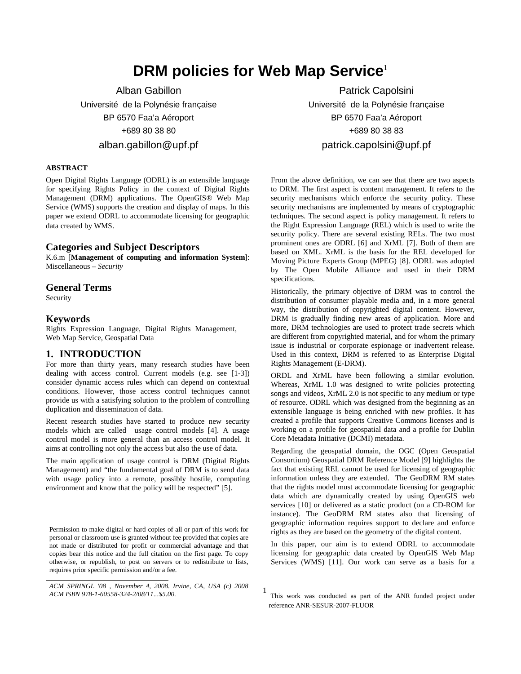# **DRM policies for Web Map Service<sup>1</sup>**

1

Alban Gabillon Université de la Polynésie française BP 6570 Faa'a Aéroport +689 80 38 80 alban.gabillon@upf.pf

#### **ABSTRACT**

Open Digital Rights Language (ODRL) is an extensible language for specifying Rights Policy in the context of Digital Rights Management (DRM) applications. The OpenGIS® Web Map Service (WMS) supports the creation and display of maps. In this paper we extend ODRL to accommodate licensing for geographic data created by WMS.

#### **Categories and Subject Descriptors**

K.6.m [**Management of computing and information System**]: Miscellaneous – *Security* 

#### **General Terms**

Security

#### **Keywords**

Rights Expression Language, Digital Rights Management, Web Map Service, Geospatial Data

## **1. INTRODUCTION**

For more than thirty years, many research studies have been dealing with access control. Current models (e.g. see [1-3]) consider dynamic access rules which can depend on contextual conditions. However, those access control techniques cannot provide us with a satisfying solution to the problem of controlling duplication and dissemination of data.

Recent research studies have started to produce new security models which are called usage control models [4]. A usage control model is more general than an access control model. It aims at controlling not only the access but also the use of data.

The main application of usage control is DRM (Digital Rights Management) and "the fundamental goal of DRM is to send data with usage policy into a remote, possibly hostile, computing environment and know that the policy will be respected" [5].

Permission to make digital or hard copies of all or part of this work for personal or classroom use is granted without fee provided that copies are not made or distributed for profit or commercial advantage and that copies bear this notice and the full citation on the first page. To copy otherwise, or republish, to post on servers or to redistribute to lists, requires prior specific permission and/or a fee.

Patrick Capolsini Université de la Polynésie française BP 6570 Faa'a Aéroport +689 80 38 83 patrick.capolsini@upf.pf

From the above definition, we can see that there are two aspects to DRM. The first aspect is content management. It refers to the security mechanisms which enforce the security policy. These security mechanisms are implemented by means of cryptographic techniques. The second aspect is policy management. It refers to the Right Expression Language (REL) which is used to write the security policy. There are several existing RELs. The two most prominent ones are ODRL [6] and XrML [7]. Both of them are based on XML. XrML is the basis for the REL developed for Moving Picture Experts Group (MPEG) [8]. ODRL was adopted by The Open Mobile Alliance and used in their DRM specifications.

Historically, the primary objective of DRM was to control the distribution of consumer playable media and, in a more general way, the distribution of copyrighted digital content. However, DRM is gradually finding new areas of application. More and more, DRM technologies are used to protect trade secrets which are different from copyrighted material, and for whom the primary issue is industrial or corporate espionage or inadvertent release. Used in this context, DRM is referred to as Enterprise Digital Rights Management (E-DRM).

ORDL and XrML have been following a similar evolution. Whereas, XrML 1.0 was designed to write policies protecting songs and videos, XrML 2.0 is not specific to any medium or type of resource. ODRL which was designed from the beginning as an extensible language is being enriched with new profiles. It has created a profile that supports Creative Commons licenses and is working on a profile for geospatial data and a profile for Dublin Core Metadata Initiative (DCMI) metadata.

Regarding the geospatial domain, the OGC (Open Geospatial Consortium) Geospatial DRM Reference Model [9] highlights the fact that existing REL cannot be used for licensing of geographic information unless they are extended. The GeoDRM RM states that the rights model must accommodate licensing for geographic data which are dynamically created by using OpenGIS web services [10] or delivered as a static product (on a CD-ROM for instance). The GeoDRM RM states also that licensing of geographic information requires support to declare and enforce rights as they are based on the geometry of the digital content.

In this paper, our aim is to extend ODRL to accommodate licensing for geographic data created by OpenGIS Web Map Services (WMS) [11]. Our work can serve as a basis for a

 $\overline{a}$ *ACM SPRINGL '08 , November 4, 2008. Irvine, CA, USA (c) 2008 ACM ISBN 978-1-60558-324-2/08/11...\$5.00.* 

This work was conducted as part of the ANR funded project under reference ANR-SESUR-2007-FLUOR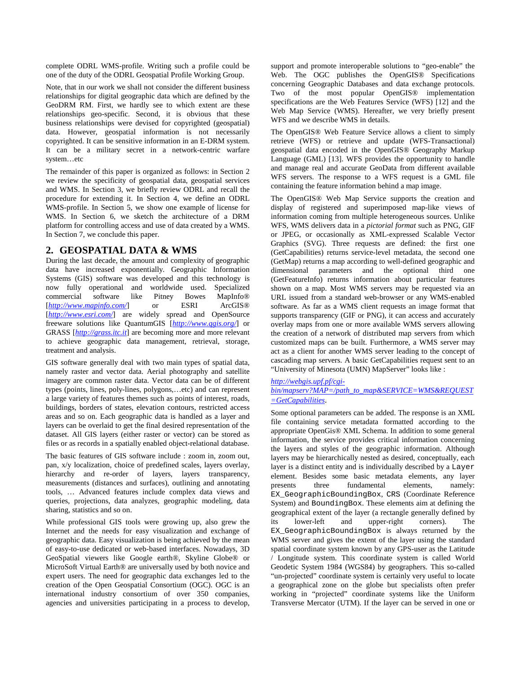complete ODRL WMS-profile. Writing such a profile could be one of the duty of the ODRL Geospatial Profile Working Group.

Note, that in our work we shall not consider the different business relationships for digital geographic data which are defined by the GeoDRM RM. First, we hardly see to which extent are these relationships geo-specific. Second, it is obvious that these business relationships were devised for copyrighted (geospatial) data. However, geospatial information is not necessarily copyrighted. It can be sensitive information in an E-DRM system. It can be a military secret in a network-centric warfare system…etc

The remainder of this paper is organized as follows: in Section 2 we review the specificity of geospatial data, geospatial services and WMS. In Section 3, we briefly review ODRL and recall the procedure for extending it. In Section 4, we define an ODRL WMS-profile. In Section 5, we show one example of license for WMS. In Section 6, we sketch the architecture of a DRM platform for controlling access and use of data created by a WMS. In Section 7, we conclude this paper.

## **2. GEOSPATIAL DATA & WMS**

During the last decade, the amount and complexity of geographic data have increased exponentially. Geographic Information Systems (GIS) software was developed and this technology is now fully operational and worldwide used. Specialized commercial software like Pitney Bowes MapInfo®<br>
[http://www.mapinfo.com/] or ESRI ArcGIS® [http://www.mapinfo.com/] or ESRI [http://www.esri.com/] are widely spread and OpenSource freeware solutions like QuantumGIS [*http://www.qgis.org/*] or GRASS [*http://grass.itc.it*] are becoming more and more relevant to achieve geographic data management, retrieval, storage, treatment and analysis.

GIS software generally deal with two main types of spatial data, namely raster and vector data. Aerial photography and satellite imagery are common raster data. Vector data can be of different types (points, lines, poly-lines, polygons,…etc) and can represent a large variety of features themes such as points of interest, roads, buildings, borders of states, elevation contours, restricted access areas and so on. Each geographic data is handled as a layer and layers can be overlaid to get the final desired representation of the dataset. All GIS layers (either raster or vector) can be stored as files or as records in a spatially enabled object-relational database.

The basic features of GIS software include : zoom in, zoom out, pan, x/y localization, choice of predefined scales, layers overlay, hierarchy and re-order of layers, layers transparency, measurements (distances and surfaces), outlining and annotating tools, … Advanced features include complex data views and queries, projections, data analyzes, geographic modeling, data sharing, statistics and so on.

While professional GIS tools were growing up, also grew the Internet and the needs for easy visualization and exchange of geographic data. Easy visualization is being achieved by the mean of easy-to-use dedicated or web-based interfaces. Nowadays, 3D GeoSpatial viewers like Google earth®, Skyline Globe® or MicroSoft Virtual Earth® are universally used by both novice and expert users. The need for geographic data exchanges led to the creation of the Open Geospatial Consortium (OGC). OGC is an international industry consortium of over 350 companies, agencies and universities participating in a process to develop, support and promote interoperable solutions to "geo-enable" the Web. The OGC publishes the OpenGIS<sup>®</sup> Specifications concerning Geographic Databases and data exchange protocols. Two of the most popular OpenGIS® implementation specifications are the Web Features Service (WFS) [12] and the Web Map Service (WMS). Hereafter, we very briefly present WFS and we describe WMS in details.

The OpenGIS® Web Feature Service allows a client to simply retrieve (WFS) or retrieve and update (WFS-Transactional) geospatial data encoded in the OpenGIS® Geography Markup Language (GML) [13]. WFS provides the opportunity to handle and manage real and accurate GeoData from different available WFS servers. The response to a WFS request is a GML file containing the feature information behind a map image.

The OpenGIS® Web Map Service supports the creation and display of registered and superimposed map-like views of information coming from multiple heterogeneous sources. Unlike WFS, WMS delivers data in a *pictorial format* such as PNG, GIF or JPEG, or occasionally as XML-expressed Scalable Vector Graphics (SVG). Three requests are defined: the first one (GetCapabilities) returns service-level metadata, the second one (GetMap) returns a map according to well-defined geographic and dimensional parameters and the optional third one (GetFeatureInfo) returns information about particular features shown on a map. Most WMS servers may be requested via an URL issued from a standard web-browser or any WMS-enabled software. As far as a WMS client requests an image format that supports transparency (GIF or PNG), it can access and accurately overlay maps from one or more available WMS servers allowing the creation of a network of distributed map servers from which customized maps can be built. Furthermore, a WMS server may act as a client for another WMS server leading to the concept of cascading map servers. A basic GetCapabilities request sent to an "University of Minesota (UMN) MapServer" looks like :

## *http://webgis.upf.pf/cgibin/mapserv?MAP=/path\_to\_map&SERVICE=WMS&REQUEST*

*=GetCapabilities*.

Some optional parameters can be added. The response is an XML file containing service metadata formatted according to the appropriate OpenGis® XML Schema. In addition to some general information, the service provides critical information concerning the layers and styles of the geographic information. Although layers may be hierarchically nested as desired, conceptually, each layer is a distinct entity and is individually described by a Layer element. Besides some basic metadata elements, any layer presents three fundamental elements, namely: EX\_GeographicBoundingBox, CRS (Coordinate Reference System) and BoundingBox. These elements aim at defining the geographical extent of the layer (a rectangle generally defined by its lower-left and upper-right corners). The EX GeographicBoundingBox is always returned by the WMS server and gives the extent of the layer using the standard spatial coordinate system known by any GPS-user as the Latitude / Longitude system. This coordinate system is called World Geodetic System 1984 (WGS84) by geographers. This so-called "un-projected" coordinate system is certainly very useful to locate a geographical zone on the globe but specialists often prefer working in "projected" coordinate systems like the Uniform Transverse Mercator (UTM). If the layer can be served in one or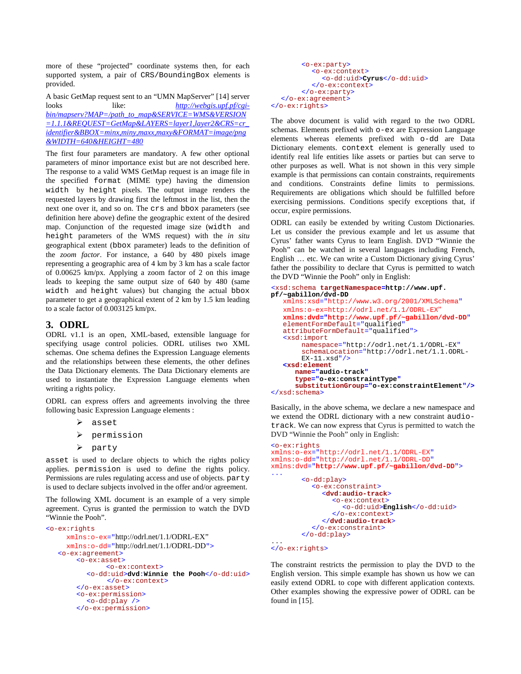more of these "projected" coordinate systems then, for each supported system, a pair of CRS/BoundingBox elements is provided.

A basic GetMap request sent to an "UMN MapServer" [14] server looks like: *http://webgis.upf.pf/cgibin/mapserv?MAP=/path\_to\_map&SERVICE=WMS&VERSION =1.1.1&REQUEST=GetMap&LAYERS=layer1,layer2&CRS=cr\_ identifier&BBOX=minx,miny,maxx,maxy&FORMAT=image/png &WIDTH=640&HEIGHT=480*

The first four parameters are mandatory. A few other optional parameters of minor importance exist but are not described here. The response to a valid WMS GetMap request is an image file in the specified format (MIME type) having the dimension width by height pixels. The output image renders the requested layers by drawing first the leftmost in the list, then the next one over it, and so on. The crs and bbox parameters (see definition here above) define the geographic extent of the desired map. Conjunction of the requested image size (width and height parameters of the WMS request) with the *in situ* geographical extent (bbox parameter) leads to the definition of the *zoom factor*. For instance, a 640 by 480 pixels image representing a geographic area of 4 km by 3 km has a scale factor of 0.00625 km/px. Applying a zoom factor of 2 on this image leads to keeping the same output size of 640 by 480 (same width and height values) but changing the actual bbox parameter to get a geographical extent of 2 km by 1.5 km leading to a scale factor of 0.003125 km/px.

## **3. ODRL**

ODRL v1.1 is an open, XML-based, extensible language for specifying usage control policies. ODRL utilises two XML schemas. One schema defines the Expression Language elements and the relationships between these elements, the other defines the Data Dictionary elements. The Data Dictionary elements are used to instantiate the Expression Language elements when writing a rights policy.

ODRL can express offers and agreements involving the three following basic Expression Language elements :

> asset

- permission
- $\blacktriangleright$  party

asset is used to declare objects to which the rights policy applies. permission is used to define the rights policy. Permissions are rules regulating access and use of objects. party is used to declare subjects involved in the offer and/or agreement.

The following XML document is an example of a very simple agreement. Cyrus is granted the permission to watch the DVD "Winnie the Pooh".

```
<o-ex:rights 
     xmlns:o-ex="http://odrl.net/1.1/ODRL-EX" 
     xmlns:o-dd="http://odrl.net/1.1/ODRL-DD">
    <o-ex:agreement>
        <o-ex:asset>
                 <o-ex:context>
           <o-dd:uid>dvd:Winnie the Pooh</o-dd:uid> 
                </o-ex:context>
        </o-ex:asset>
        <o-ex:permission>
          <o-dd:play /> 
        </o-ex:permission>
```

```
<o-ex:party>
           <o-ex:context>
             <o-dd:uid>Cyrus</o-dd:uid> 
           </o-ex:context>
        </o-ex:party> 
  </o-ex:agreement>
</o-ex:rights>
```
The above document is valid with regard to the two ODRL schemas. Elements prefixed with o-ex are Expression Language elements whereas elements prefixed with o-dd are Data Dictionary elements. context element is generally used to identify real life entities like assets or parties but can serve to other purposes as well. What is not shown in this very simple example is that permissions can contain constraints, requirements and conditions. Constraints define limits to permissions. Requirements are obligations which should be fulfilled before exercising permissions. Conditions specify exceptions that, if occur, expire permissions.

ODRL can easily be extended by writing Custom Dictionaries. Let us consider the previous example and let us assume that Cyrus' father wants Cyrus to learn English. DVD "Winnie the Pooh" can be watched in several languages including French, English … etc. We can write a Custom Dictionary giving Cyrus' father the possibility to declare that Cyrus is permitted to watch the DVD "Winnie the Pooh" only in English:

```
<xsd:schema targetNamespace=http://www.upf.
pf/~gabillon/dvd-DD 
   xmlns:xsd="http://www.w3.org/2001/XMLSchema"
   xmlns:o-ex=http://odrl.net/1.1/ODRL-EX"
   xmlns:dvd="http://www.upf.pf/~gabillon/dvd-DD"
   elementFormDefault="qualified"
   attributeFormDefault="qualified">
   <xsd:import 
       namespace="http://odrl.net/1.1/ODRL-EX" 
       schemaLocation="http://odrl.net/1.1.ODRL-
       EX-11.xsd"/>
   <xsd:element 
      name="audio-track"
      type="o-ex:constraintType"
      substitutionGroup="o-ex:constraintElement"/> 
</xsd:schema>
```
Basically, in the above schema, we declare a new namespace and we extend the ODRL dictionary with a new constraint audiotrack. We can now express that Cyrus is permitted to watch the DVD "Winnie the Pooh" only in English:

```
<o-ex:rights
xmlns:o-ex="http://odrl.net/1.1/ODRL-EX" 
xmlns:o-dd="http://odrl.net/1.1/ODRL-DD"
xmlns:dvd="http://www.upf.pf/~gabillon/dvd-DD"> 
...
       <o-dd:play>
          <o-ex:constraint>
             <dvd:audio-track>
               <o-ex:context>
                  <o-dd:uid>English</o-dd:uid> 
               </o-ex:context>
             </dvd:audio-track>
          </o-ex:constraint>
       </o-dd:play>
```
#### ... </o-ex:rights>

The constraint restricts the permission to play the DVD to the English version. This simple example has shown us how we can easily extend ODRL to cope with different application contexts. Other examples showing the expressive power of ODRL can be found in [15].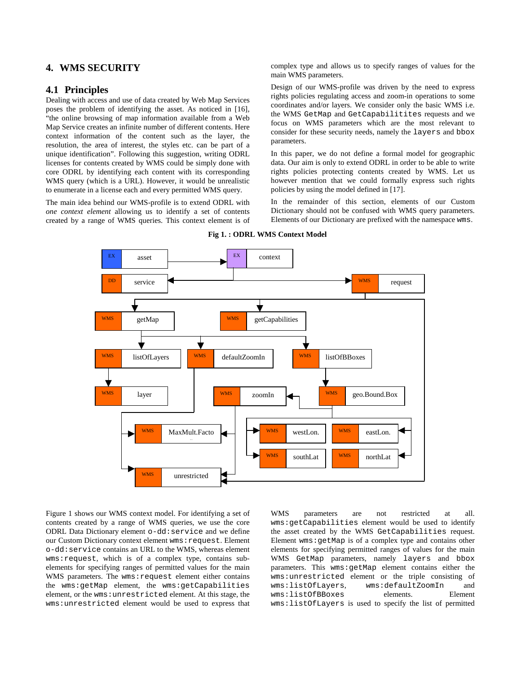## **4. WMS SECURITY**

### **4.1 Principles**

Dealing with access and use of data created by Web Map Services poses the problem of identifying the asset. As noticed in [16], "the online browsing of map information available from a Web Map Service creates an infinite number of different contents. Here context information of the content such as the layer, the resolution, the area of interest, the styles etc. can be part of a unique identification". Following this suggestion, writing ODRL licenses for contents created by WMS could be simply done with core ODRL by identifying each content with its corresponding WMS query (which is a URL). However, it would be unrealistic to enumerate in a license each and every permitted WMS query.

The main idea behind our WMS-profile is to extend ODRL with *one context element* allowing us to identify a set of contents created by a range of WMS queries. This context element is of complex type and allows us to specify ranges of values for the main WMS parameters.

Design of our WMS-profile was driven by the need to express rights policies regulating access and zoom-in operations to some coordinates and/or layers. We consider only the basic WMS i.e. the WMS GetMap and GetCapabilitites requests and we focus on WMS parameters which are the most relevant to consider for these security needs, namely the layers and bbox parameters.

In this paper, we do not define a formal model for geographic data. Our aim is only to extend ODRL in order to be able to write rights policies protecting contents created by WMS. Let us however mention that we could formally express such rights policies by using the model defined in [17].

In the remainder of this section, elements of our Custom Dictionary should not be confused with WMS query parameters. Elements of our Dictionary are prefixed with the namespace wms.



**Fig 1. : ODRL WMS Context Model** 

Figure 1 shows our WMS context model. For identifying a set of contents created by a range of WMS queries, we use the core ODRL Data Dictionary element o-dd:service and we define our Custom Dictionary context element wms: request. Element o-dd:service contains an URL to the WMS, whereas element wms:request, which is of a complex type, contains subelements for specifying ranges of permitted values for the main WMS parameters. The wms: request element either contains the wms:getMap element, the wms:getCapabilities element, or the wms:unrestricted element. At this stage, the wms:unrestricted element would be used to express that WMS parameters are not restricted at all. wms:getCapabilities element would be used to identify the asset created by the WMS GetCapabilities request. Element wms:getMap is of a complex type and contains other elements for specifying permitted ranges of values for the main WMS GetMap parameters, namely layers and bbox parameters. This wms:getMap element contains either the wms:unrestricted element or the triple consisting of wms:listOfLayers, wms:defaultZoomIn and wms:listOfBBoxes elements. Element wms:listOfLayers is used to specify the list of permitted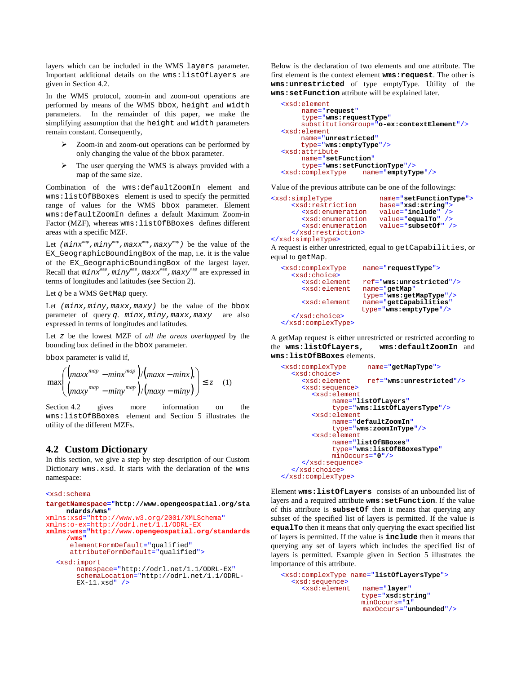layers which can be included in the WMS layers parameter. Important additional details on the wms:listOfLayers are given in Section 4.2.

In the WMS protocol, zoom-in and zoom-out operations are performed by means of the WMS bbox, height and width parameters. In the remainder of this paper, we make the simplifying assumption that the height and width parameters remain constant. Consequently,

- $\triangleright$  Zoom-in and zoom-out operations can be performed by only changing the value of the bbox parameter.
- $\triangleright$  The user querying the WMS is always provided with a map of the same size.

Combination of the wms:defaultZoomIn element and wms:listOfBBoxes element is used to specify the permitted range of values for the WMS bbox parameter. Element wms:defaultZoomIn defines a default Maximum Zoom-in Factor (MZF), whereas wms:listOfBBoxes defines different areas with a specific MZF.

Let  $(minx^{map},miny^{map},maxx^{map},maxy^{map})$  be the value of the EX\_GeographicBoundingBox of the map, i.e. it is the value of the EX\_GeographicBoundingBox of the largest layer. Recall that  $minx^{map}$ ,  $miny^{map}$ ,  $maxx^{map}$ ,  $maxy^{map}$  are expressed in terms of longitudes and latitudes (see Section 2).

Let q be a WMS GetMap query.

Let  $(minx,miny,maxx,maxy)$  be the value of the bbox parameter of query q.  $minx, miny, maxx, maxy$  are also expressed in terms of longitudes and latitudes.

Let z be the lowest MZF of *all the areas overlapped* by the bounding box defined in the bbox parameter.

bbox parameter is valid if,

$$
\max \left( \left( \frac{\max x^{map} - \min x^{map}}{\max y^{map} - \min y^{map}} \right) / \left( \max y - \min y \right) \right) \le z \quad (1)
$$

Section 4.2 gives more information on the wms:listOfBBoxes element and Section 5 illustrates the utility of the different MZFs.

## **4.2 Custom Dictionary**

In this section, we give a step by step description of our Custom Dictionary wms.xsd. It starts with the declaration of the wms namespace:

```
<xsd:schema
```

```
targetNamespace="http://www.opengeospatial.org/sta
    ndards/wms" 
xmlns:xsd="http://www.w3.org/2001/XMLSchema" 
xmlns:o-ex=http://odrl.net/1.1/ODRL-EX 
xmlns:wms="http://www.opengeospatial.org/standards
     /wms"
      elementFormDefault="qualified"
      attributeFormDefault="qualified">
  <xsd:import
       namespace="http://odrl.net/1.1/ODRL-EX" 
       schemaLocation="http://odrl.net/1.1/ODRL-
       EX-11.xsd" />
```
Below is the declaration of two elements and one attribute. The first element is the context element **wms:request**. The other is **wms:unrestricted** of type emptyType. Utility of the **wms:setFunction** attribute will be explained later.

```
<xsd:element
    name="request"
      type="wms:requestType"
    substitutionGroup="o-ex:contextElement"/> 
<xsd:element
    name="unrestricted" 
     type="wms:emptyType"/> 
<xsd:attribute 
    name="setFunction" 
      type="wms:setFunctionType"/> 
<xsd:complexType name="emptyType"/>
```
Value of the previous attribute can be one of the followings:

```
<xsd:simpleType name="setFunctionType">
                         base="xsd:string">
       <xsd:enumeration value="include" />
       <xsd:enumeration value="equalTo" />
       <xsd:enumeration value="subsetOf" /> 
    </xsd:restriction>
</xsd:simpleType>
```
A request is either unrestricted, equal to getCapabilities, or equal to getMap.

```
<xsd:complexType name="requestType">
  <xsd:choice>
     <xsd:element ref="wms:unrestricted"/>
                    <xsd:element name="getMap" 
      type="wms:getMapType"/> 
                    name="getCapabilities"
                    type="wms:emptyType"/> 
  </xsd:choice>
</xsd:complexType>
```
A getMap request is either unrestricted or restricted according to the **wms:listOfLayers, wms:defaultZoomIn** and **wms:listOfBBoxes** elements.

```
<xsd:complexType name="getMapType">
  <xsd:choice>
     <xsd:element ref="wms:unrestricted"/> 
     <xsd:sequence>
       <xsd:element 
            name="listOfLayers"
              type="wms:listOfLayersType"/>
       <xsd:element 
            name="defaultZoomIn"
              type="wms:zoomInType"/> 
       <xsd:element 
            name="listOfBBoxes" 
             type="wms:listOfBBoxesType" 
            minOccurs="0"/> 
     </xsd:sequence>
  </xsd:choice>
</xsd:complexType>
```
Element **wms:listOfLayers** consists of an unbounded list of layers and a required attribute **wms:setFunction**. If the value of this attribute is **subsetOf** then it means that querying any subset of the specified list of layers is permitted. If the value is **equalTo** then it means that only querying the exact specified list of layers is permitted. If the value is **include** then it means that querying any set of layers which includes the specified list of layers is permitted. Example given in Section 5 illustrates the importance of this attribute.

```
<xsd:complexType name="listOfLayersType">
  <xsd:sequence>
                    name="layer"
                    type="xsd:string" 
                    minOccurs="1"
                     maxOccurs="unbounded"/>
```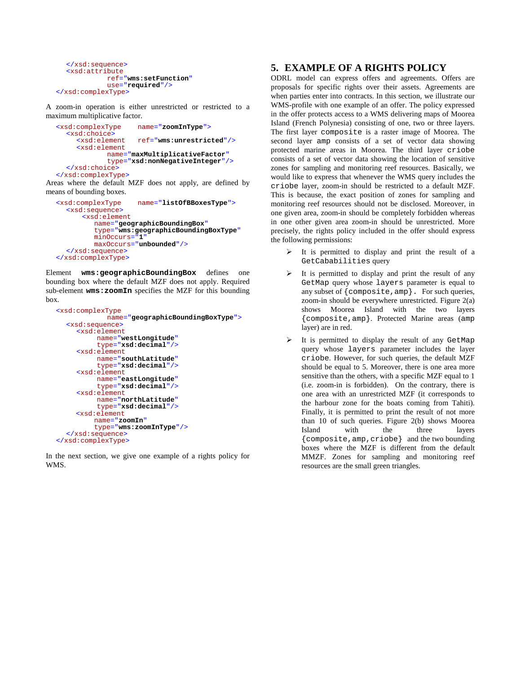```
</xsd:sequence>
  <xsd:attribute
             ref="wms:setFunction"
              use="required"/> 
</xsd:complexType>
```
A zoom-in operation is either unrestricted or restricted to a maximum multiplicative factor.

```
<xsd:complexType name="zoomInType">
  <xsd:choice>
                     <xsd:element ref="wms:unrestricted"/> 
     <xsd:element
             name="maxMultiplicativeFactor" 
             type="xsd:nonNegativeInteger"/> 
  </xsd:choice>
</xsd:complexType>
```
Areas where the default MZF does not apply, are defined by means of bounding boxes.

```
<xsd:complexType name="listOfBBoxesType">
  <xsd:sequence>
      <xsd:element 
         name="geographicBoundingBox" 
         type="wms:geographicBoundingBoxType" 
         minOccurs="1" 
         maxOccurs="unbounded"/> 
  </xsd:sequence>
</xsd:complexType>
```
Element **wms:geographicBoundingBox** defines one bounding box where the default MZF does not apply. Required sub-element **wms:zoomIn** specifies the MZF for this bounding box.

```
<xsd:complexType 
              name="geographicBoundingBoxType">
  <xsd:sequence>
     <xsd:element
          name="westLongitude"
          type="xsd:decimal"/> 
     <xsd:element
          name="southLatitude"
          type="xsd:decimal"/>
     <xsd:element
          name="eastLongitude" 
          type="xsd:decimal"/> 
     <xsd:element
          name="northLatitude"
          type="xsd:decimal"/>
     <xsd:element
          name="zoomIn" 
           type="wms:zoomInType"/>
  </xsd:sequence>
</xsd:complexType>
```
In the next section, we give one example of a rights policy for WMS.

## **5. EXAMPLE OF A RIGHTS POLICY**

ODRL model can express offers and agreements. Offers are proposals for specific rights over their assets. Agreements are when parties enter into contracts. In this section, we illustrate our WMS-profile with one example of an offer. The policy expressed in the offer protects access to a WMS delivering maps of Moorea Island (French Polynesia) consisting of one, two or three layers. The first layer composite is a raster image of Moorea. The second layer amp consists of a set of vector data showing protected marine areas in Moorea. The third layer criobe consists of a set of vector data showing the location of sensitive zones for sampling and monitoring reef resources. Basically, we would like to express that whenever the WMS query includes the criobe layer, zoom-in should be restricted to a default MZF. This is because, the exact position of zones for sampling and monitoring reef resources should not be disclosed. Moreover, in one given area, zoom-in should be completely forbidden whereas in one other given area zoom-in should be unrestricted. More precisely, the rights policy included in the offer should express the following permissions:

- $\triangleright$  It is permitted to display and print the result of a GetCababilities query
- $\triangleright$  It is permitted to display and print the result of any GetMap query whose layers parameter is equal to any subset of {composite,amp}. For such queries, zoom-in should be everywhere unrestricted. Figure 2(a) shows Moorea Island with the two layers {composite,amp}. Protected Marine areas (amp layer) are in red.
- $\triangleright$  It is permitted to display the result of any GetMap query whose layers parameter includes the layer criobe. However, for such queries, the default MZF should be equal to 5. Moreover, there is one area more sensitive than the others, with a specific MZF equal to 1 (i.e. zoom-in is forbidden). On the contrary, there is one area with an unrestricted MZF (it corresponds to the harbour zone for the boats coming from Tahiti). Finally, it is permitted to print the result of not more than 10 of such queries. Figure 2(b) shows Moorea<br>Island with the three layers Island with the three layers {composite,amp,criobe} and the two bounding boxes where the MZF is different from the default MMZF. Zones for sampling and monitoring reef resources are the small green triangles.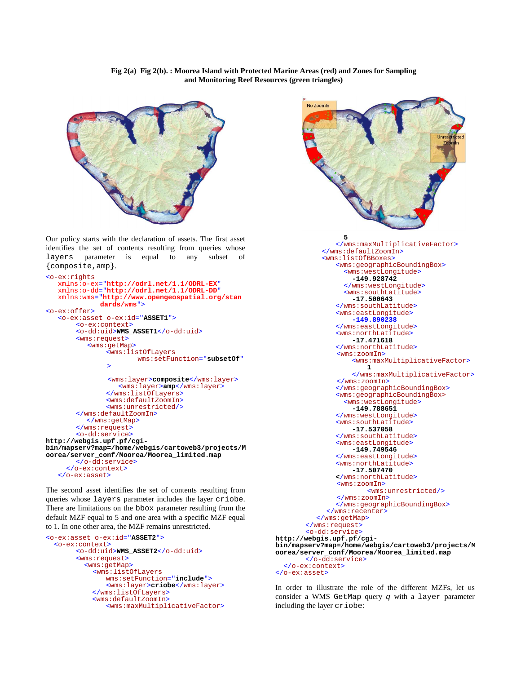#### **Fig 2(a) Fig 2(b). : Moorea Island with Protected Marine Areas (red) and Zones for Sampling and Monitoring Reef Resources (green triangles)**



Our policy starts with the declaration of assets. The first asset identifies the set of contents resulting from queries whose layers parameter is equal to any subset of {composite,amp}.

```
<o-ex:rights
   xmlns:o-ex="http://odrl.net/1.1/ODRL-EX" 
   xmlns:o-dd="http://odrl.net/1.1/ODRL-DD" 
   xmlns:wms="http://www.opengeospatial.org/stan
             dards/wms"> 
<o-ex:offer>
   <o-ex:asset o-ex:id="ASSET1">
       <o-ex:context>
        <o-dd:uid>WMS_ASSET1</o-dd:uid> 
       <wms:request>
          <wms:getMap>
               <wms:listOfLayers 
                       wms:setFunction="subsetOf"
                >
               <wms:layer>composite</wms:layer>
                   <wms:layer>amp</wms:layer>
               </wms:listOfLayers>
               <wms:defaultZoomIn>
               <wms:unrestricted/> 
        </wms:defaultZoomIn>
          </wms:getMap>
       </wms:request>
       <o-dd:service> 
http://webgis.upf.pf/cgi-
bin/mapserv?map=/home/webgis/cartoweb3/projects/M
oorea/server_conf/Moorea/Moorea_limited.map 
        </o-dd:service> 
     </o-ex:context>
   </o-ex:asset>
```
The second asset identifies the set of contents resulting from queries whose layers parameter includes the layer criobe. There are limitations on the bbox parameter resulting from the default MZF equal to 5 and one area with a specific MZF equal to 1. In one other area, the MZF remains unrestricted.

```
<o-ex:asset o-ex:id="ASSET2">
   <o-ex:context>
       <o-dd:uid>WMS_ASSET2</o-dd:uid> 
        <wms:request>
          <wms:getMap>
             <wms:listOfLayers 
               wms:setFunction="include">
               <wms:layer>criobe</wms:layer> 
             </wms:listOfLayers>
             <wms:defaultZoomIn>
               <wms:maxMultiplicativeFactor>
```


In order to illustrate the role of the different MZFs, let us consider a WMS GetMap query q with a layer parameter including the layer criobe: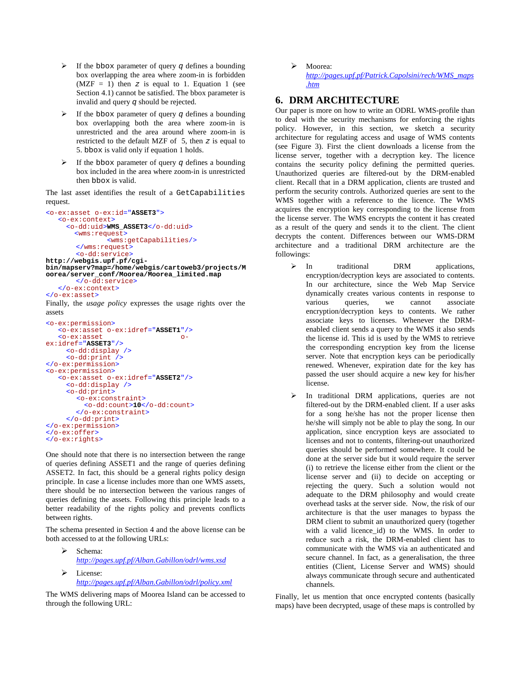- $\triangleright$  If the bbox parameter of query q defines a bounding box overlapping the area where zoom-in is forbidden  $(MZF = 1)$  then z is equal to 1. Equation 1 (see Section 4.1) cannot be satisfied. The bbox parameter is invalid and query q should be rejected.
- If the bbox parameter of query  $\sigma$  defines a bounding box overlapping both the area where zoom-in is unrestricted and the area around where zoom-in is restricted to the default MZF of  $5$ , then  $z$  is equal to 5. bbox is valid only if equation 1 holds.
- $\triangleright$  If the bbox parameter of query q defines a bounding box included in the area where zoom-in is unrestricted then bbox is valid.

The last asset identifies the result of a GetCapabilities request.

```
<o-ex:asset o-ex:id="ASSET3">
    <o-ex:context>
      <o-dd:uid>WMS_ASSET3</o-dd:uid> 
        <wms:request>
                <wms:getCapabilities/> 
        </wms:request>
        <o-dd:service> 
http://webgis.upf.pf/cgi-
bin/mapserv?map=/home/webgis/cartoweb3/projects/M
oorea/server_conf/Moorea/Moorea_limited.map 
       </o-dd:service> 
    </o-ex:context>
</o-ex:asset>
```
Finally, the *usage policy* expresses the usage rights over the assets

```
<o-ex:permission>
    <o-ex:asset o-ex:idref="ASSET1"/> 
    <o-ex:asset o-
ex:idref="ASSET3"/> 
      <o-dd:display /> 
      <o-dd:print /> 
</o-ex:permission>
<o-ex:permission>
    <o-ex:asset o-ex:idref="ASSET2"/> 
      <o-dd:display /> 
      <o-dd:print>
         <o-ex:constraint>
           <o-dd:count>10</o-dd:count> 
        </o-ex:constraint>
     </o-dd:print>
</o-ex:permission> 
</o-ex:offer>
</o-ex:rights>
```
One should note that there is no intersection between the range of queries defining ASSET1 and the range of queries defining ASSET2. In fact, this should be a general rights policy design principle. In case a license includes more than one WMS assets, there should be no intersection between the various ranges of queries defining the assets. Following this principle leads to a better readability of the rights policy and prevents conflicts between rights.

The schema presented in Section 4 and the above license can be both accessed to at the following URLs:

- Schema: *http://pages.upf.pf/Alban.Gabillon/odrl/wms.xsd*
- License: *http://pages.upf.pf/Alban.Gabillon/odrl/policy.xml*

The WMS delivering maps of Moorea Island can be accessed to through the following URL:

> Moorea: *http://pages.upf.pf/Patrick.Capolsini/rech/WMS\_maps .htm*

# **6. DRM ARCHITECTURE**

Our paper is more on how to write an ODRL WMS-profile than to deal with the security mechanisms for enforcing the rights policy. However, in this section, we sketch a security architecture for regulating access and usage of WMS contents (see Figure 3). First the client downloads a license from the license server, together with a decryption key. The licence contains the security policy defining the permitted queries. Unauthorized queries are filtered-out by the DRM-enabled client. Recall that in a DRM application, clients are trusted and perform the security controls. Authorized queries are sent to the WMS together with a reference to the licence. The WMS acquires the encryption key corresponding to the license from the license server. The WMS encrypts the content it has created as a result of the query and sends it to the client. The client decrypts the content. Differences between our WMS-DRM architecture and a traditional DRM architecture are the followings:

- > In traditional DRM applications, encryption/decryption keys are associated to contents. In our architecture, since the Web Map Service dynamically creates various contents in response to various queries, we cannot associate encryption/decryption keys to contents. We rather associate keys to licenses. Whenever the DRMenabled client sends a query to the WMS it also sends the license id. This id is used by the WMS to retrieve the corresponding encryption key from the license server. Note that encryption keys can be periodically renewed. Whenever, expiration date for the key has passed the user should acquire a new key for his/her license.
- $\triangleright$  In traditional DRM applications, queries are not filtered-out by the DRM-enabled client. If a user asks for a song he/she has not the proper license then he/she will simply not be able to play the song. In our application, since encryption keys are associated to licenses and not to contents, filtering-out unauthorized queries should be performed somewhere. It could be done at the server side but it would require the server (i) to retrieve the license either from the client or the license server and (ii) to decide on accepting or rejecting the query. Such a solution would not adequate to the DRM philosophy and would create overhead tasks at the server side. Now, the risk of our architecture is that the user manages to bypass the DRM client to submit an unauthorized query (together with a valid licence\_id) to the WMS. In order to reduce such a risk, the DRM-enabled client has to communicate with the WMS via an authenticated and secure channel. In fact, as a generalisation, the three entities (Client, License Server and WMS) should always communicate through secure and authenticated channels.

Finally, let us mention that once encrypted contents (basically maps) have been decrypted, usage of these maps is controlled by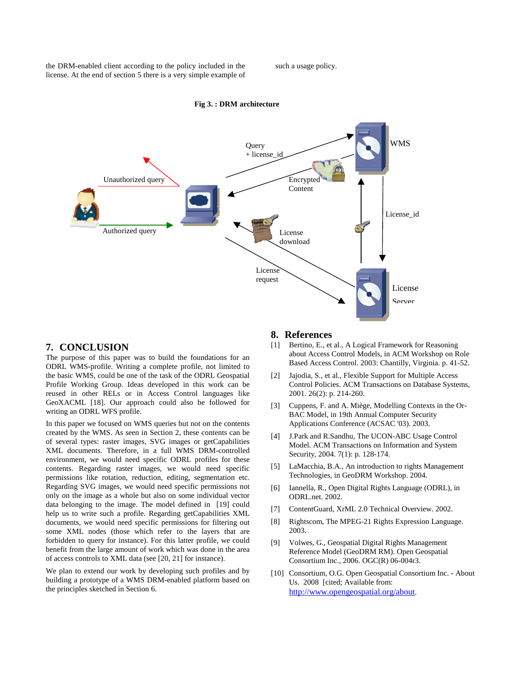the DRM-enabled client according to the policy included in the license. At the end of section 5 there is a very simple example of such a usage policy.



#### **Fig 3. : DRM architecture**

## **7. CONCLUSION**

The purpose of this paper was to build the foundations for an ODRL WMS-profile. Writing a complete profile, not limited to the basic WMS, could be one of the task of the ODRL Geospatial Profile Working Group. Ideas developed in this work can be reused in other RELs or in Access Control languages like GeoXACML [18]. Our approach could also be followed for writing an ODRL WFS profile.

In this paper we focused on WMS queries but not on the contents created by the WMS. As seen in Section 2, these contents can be of several types: raster images, SVG images or getCapabilities XML documents. Therefore, in a full WMS DRM-controlled environment, we would need specific ODRL profiles for these contents. Regarding raster images, we would need specific permissions like rotation, reduction, editing, segmentation etc. Regarding SVG images, we would need specific permissions not only on the image as a whole but also on some individual vector data belonging to the image. The model defined in [19] could help us to write such a profile. Regarding getCapabilities XML documents, we would need specific permissions for filtering out some XML nodes (those which refer to the layers that are forbidden to query for instance). For this latter profile, we could benefit from the large amount of work which was done in the area of access controls to XML data (see [20, 21] for instance).

We plan to extend our work by developing such profiles and by building a prototype of a WMS DRM-enabled platform based on the principles sketched in Section 6.

### **8. References**

- [1] Bertino, E., et al., A Logical Framework for Reasoning about Access Control Models, in ACM Workshop on Role Based Access Control. 2003: Chantilly, Virginia. p. 41-52.
- [2] Jajodia, S., et al., Flexible Support for Multiple Access Control Policies. ACM Transactions on Database Systems, 2001. 26(2): p. 214-260.
- [3] Cuppens, F. and A. Miège, Modelling Contexts in the Or-BAC Model, in 19th Annual Computer Security Applications Conference (ACSAC '03). 2003.
- [4] J.Park and R.Sandhu, The UCON-ABC Usage Control Model. ACM Transactions on Information and System Security, 2004. 7(1): p. 128-174.
- [5] LaMacchia, B.A., An introduction to rights Management Technologies, in GeoDRM Workshop. 2004.
- [6] Iannella, R., Open Digital Rights Language (ODRL), in ODRL.net. 2002.
- [7] ContentGuard, XrML 2.0 Technical Overview. 2002.
- [8] Rightscom, The MPEG-21 Rights Expression Language. 2003.
- [9] Volwes, G., Geospatial Digital Rights Management Reference Model (GeoDRM RM). Open Geospatial Consortium Inc., 2006. OGC(R) 06-004r3.
- [10] Consortium, O.G. Open Geospatial Consortium Inc. About Us. 2008 [cited; Available from: http://www.opengeospatial.org/about.